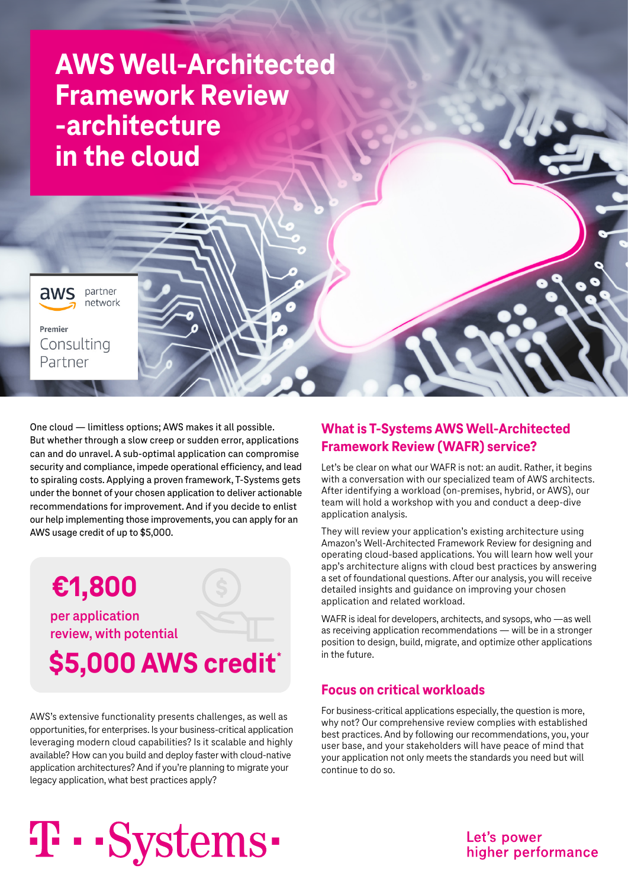# **AWS Well-Architected Framework Review -architecture in the cloud**



Premier Consulting Partner

One cloud — limitless options; AWS makes it all possible. But whether through a slow creep or sudden error, applications can and do unravel. A sub-optimal application can compromise security and compliance, impede operational efficiency, and lead to spiraling costs. Applying a proven framework, T-Systems gets under the bonnet of your chosen application to deliver actionable recommendations for improvement. And if you decide to enlist our help implementing those improvements, you can apply for an AWS usage credit of up to \$5,000.



AWS's extensive functionality presents challenges, as well as opportunities, for enterprises. Is your business-critical application leveraging modern cloud capabilities? Is it scalable and highly available? How can you build and deploy faster with cloud-native application architectures? And if you're planning to migrate your legacy application, what best practices apply?

# **What is T-Systems AWS Well-Architected Framework Review (WAFR) service?**

Let's be clear on what our WAFR is not: an audit. Rather, it begins with a conversation with our specialized team of AWS architects. After identifying a workload (on-premises, hybrid, or AWS), our team will hold a workshop with you and conduct a deep-dive application analysis.

They will review your application's existing architecture using Amazon's Well-Architected Framework Review for designing and operating cloud-based applications. You will learn how well your app's architecture aligns with cloud best practices by answering a set of foundational questions. After our analysis, you will receive detailed insights and guidance on improving your chosen application and related workload.

WAFR is ideal for developers, architects, and sysops, who —as well as receiving application recommendations — will be in a stronger position to design, build, migrate, and optimize other applications in the future.

# **Focus on critical workloads**

For business-critical applications especially, the question is more, why not? Our comprehensive review complies with established best practices. And by following our recommendations, you, your user base, and your stakeholders will have peace of mind that your application not only meets the standards you need but will continue to do so.

# T · · Systems ·

Let's power higher performance